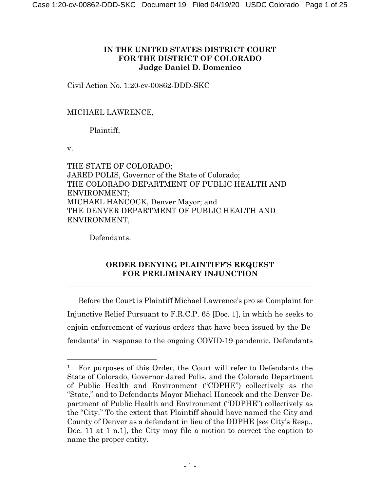### **IN THE UNITED STATES DISTRICT COURT FOR THE DISTRICT OF COLORADO Judge Daniel D. Domenico**

Civil Action No. 1:20-cv-00862-DDD-SKC

## MICHAEL LAWRENCE,

Plaintiff,

v.

THE STATE OF COLORADO; JARED POLIS, Governor of the State of Colorado; THE COLORADO DEPARTMENT OF PUBLIC HEALTH AND ENVIRONMENT; MICHAEL HANCOCK, Denver Mayor; and THE DENVER DEPARTMENT OF PUBLIC HEALTH AND ENVIRONMENT,

Defendants.

# **ORDER DENYING PLAINTIFF'S REQUEST FOR PRELIMINARY INJUNCTION**

Before the Court is Plaintiff Michael Lawrence's pro se Complaint for Injunctive Relief Pursuant to F.R.C.P. 65 [Doc. 1], in which he seeks to enjoin enforcement of various orders that have been issued by the Defendants1 in response to the ongoing COVID-19 pandemic. Defendants

<sup>&</sup>lt;sup>1</sup> For purposes of this Order, the Court will refer to Defendants the State of Colorado, Governor Jared Polis, and the Colorado Department of Public Health and Environment ("CDPHE") collectively as the "State," and to Defendants Mayor Michael Hancock and the Denver Department of Public Health and Environment ("DDPHE") collectively as the "City." To the extent that Plaintiff should have named the City and County of Denver as a defendant in lieu of the DDPHE [*see* City's Resp., Doc. 11 at 1 n.1], the City may file a motion to correct the caption to name the proper entity.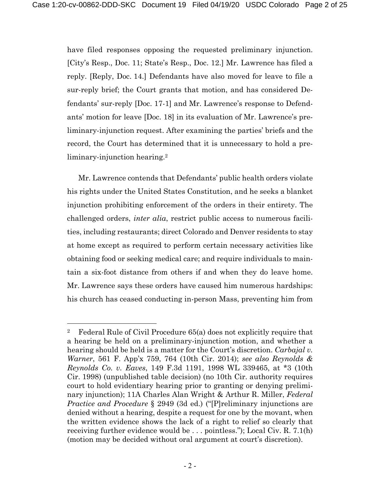have filed responses opposing the requested preliminary injunction. [City's Resp., Doc. 11; State's Resp., Doc. 12.] Mr. Lawrence has filed a reply. [Reply, Doc. 14.] Defendants have also moved for leave to file a sur-reply brief; the Court grants that motion, and has considered Defendants' sur-reply [Doc. 17-1] and Mr. Lawrence's response to Defendants' motion for leave [Doc. 18] in its evaluation of Mr. Lawrence's preliminary-injunction request. After examining the parties' briefs and the record, the Court has determined that it is unnecessary to hold a preliminary-injunction hearing.2

Mr. Lawrence contends that Defendants' public health orders violate his rights under the United States Constitution, and he seeks a blanket injunction prohibiting enforcement of the orders in their entirety. The challenged orders, *inter alia*, restrict public access to numerous facilities, including restaurants; direct Colorado and Denver residents to stay at home except as required to perform certain necessary activities like obtaining food or seeking medical care; and require individuals to maintain a six-foot distance from others if and when they do leave home. Mr. Lawrence says these orders have caused him numerous hardships: his church has ceased conducting in-person Mass, preventing him from

<sup>2</sup> Federal Rule of Civil Procedure 65(a) does not explicitly require that a hearing be held on a preliminary-injunction motion, and whether a hearing should be held is a matter for the Court's discretion. *Carbajal v. Warner*, 561 F. App'x 759, 764 (10th Cir. 2014); *see also Reynolds & Reynolds Co. v. Eaves*, 149 F.3d 1191, 1998 WL 339465, at \*3 (10th Cir. 1998) (unpublished table decision) (no 10th Cir. authority requires court to hold evidentiary hearing prior to granting or denying preliminary injunction); 11A Charles Alan Wright & Arthur R. Miller, *Federal Practice and Procedure* § 2949 (3d ed.) ("[P]reliminary injunctions are denied without a hearing, despite a request for one by the movant, when the written evidence shows the lack of a right to relief so clearly that receiving further evidence would be . . . pointless."); Local Civ. R. 7.1(h) (motion may be decided without oral argument at court's discretion).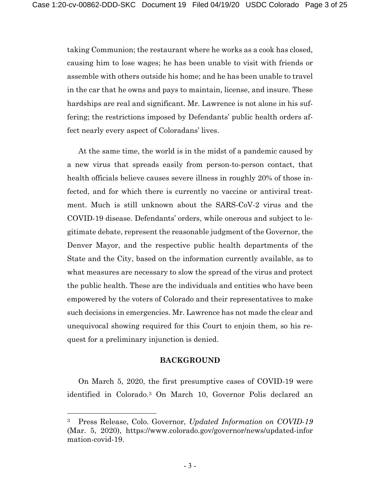taking Communion; the restaurant where he works as a cook has closed, causing him to lose wages; he has been unable to visit with friends or assemble with others outside his home; and he has been unable to travel in the car that he owns and pays to maintain, license, and insure. These hardships are real and significant. Mr. Lawrence is not alone in his suffering; the restrictions imposed by Defendants' public health orders affect nearly every aspect of Coloradans' lives.

At the same time, the world is in the midst of a pandemic caused by a new virus that spreads easily from person-to-person contact, that health officials believe causes severe illness in roughly 20% of those infected, and for which there is currently no vaccine or antiviral treatment. Much is still unknown about the SARS-CoV-2 virus and the COVID-19 disease. Defendants' orders, while onerous and subject to legitimate debate, represent the reasonable judgment of the Governor, the Denver Mayor, and the respective public health departments of the State and the City, based on the information currently available, as to what measures are necessary to slow the spread of the virus and protect the public health. These are the individuals and entities who have been empowered by the voters of Colorado and their representatives to make such decisions in emergencies. Mr. Lawrence has not made the clear and unequivocal showing required for this Court to enjoin them, so his request for a preliminary injunction is denied.

### **BACKGROUND**

On March 5, 2020, the first presumptive cases of COVID-19 were identified in Colorado.3 On March 10, Governor Polis declared an

<sup>3</sup> Press Release, Colo. Governor, *Updated Information on COVID-19* (Mar. 5, 2020), https://www.colorado.gov/governor/news/updated-infor mation-covid-19.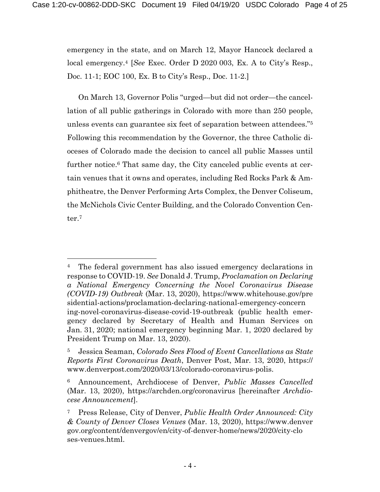emergency in the state, and on March 12, Mayor Hancock declared a local emergency.4 [*See* Exec. Order D 2020 003, Ex. A to City's Resp., Doc. 11-1; EOC 100, Ex. B to City's Resp., Doc. 11-2.]

On March 13, Governor Polis "urged—but did not order—the cancellation of all public gatherings in Colorado with more than 250 people, unless events can guarantee six feet of separation between attendees."5 Following this recommendation by the Governor, the three Catholic dioceses of Colorado made the decision to cancel all public Masses until further notice.6 That same day, the City canceled public events at certain venues that it owns and operates, including Red Rocks Park & Amphitheatre, the Denver Performing Arts Complex, the Denver Coliseum, the McNichols Civic Center Building, and the Colorado Convention Center.7

<sup>4</sup> The federal government has also issued emergency declarations in response to COVID-19. *See* Donald J. Trump, *Proclamation on Declaring a National Emergency Concerning the Novel Coronavirus Disease (COVID-19) Outbreak* (Mar. 13, 2020), https://www.whitehouse.gov/pre sidential-actions/proclamation-declaring-national-emergency-concern ing-novel-coronavirus-disease-covid-19-outbreak (public health emergency declared by Secretary of Health and Human Services on Jan. 31, 2020; national emergency beginning Mar. 1, 2020 declared by President Trump on Mar. 13, 2020).

<sup>5</sup> Jessica Seaman, *Colorado Sees Flood of Event Cancellations as State Reports First Coronavirus Death*, Denver Post, Mar. 13, 2020, https:// www.denverpost.com/2020/03/13/colorado-coronavirus-polis.

<sup>6</sup> Announcement, Archdiocese of Denver, *Public Masses Cancelled* (Mar. 13, 2020), https://archden.org/coronavirus [hereinafter *Archdiocese Announcement*].

<sup>7</sup> Press Release, City of Denver, *Public Health Order Announced: City & County of Denver Closes Venues* (Mar. 13, 2020), https://www.denver gov.org/content/denvergov/en/city-of-denver-home/news/2020/city-clo ses-venues.html.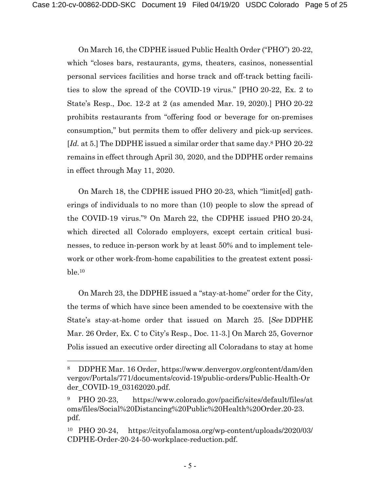On March 16, the CDPHE issued Public Health Order ("PHO") 20-22, which "closes bars, restaurants, gyms, theaters, casinos, nonessential personal services facilities and horse track and off-track betting facilities to slow the spread of the COVID-19 virus." [PHO 20-22, Ex. 2 to State's Resp., Doc. 12-2 at 2 (as amended Mar. 19, 2020).] PHO 20-22 prohibits restaurants from "offering food or beverage for on-premises consumption," but permits them to offer delivery and pick-up services. [*Id.* at 5.] The DDPHE issued a similar order that same day.<sup>8</sup> PHO 20-22 remains in effect through April 30, 2020, and the DDPHE order remains in effect through May 11, 2020.

On March 18, the CDPHE issued PHO 20-23, which "limit[ed] gatherings of individuals to no more than (10) people to slow the spread of the COVID-19 virus."9 On March 22, the CDPHE issued PHO 20-24, which directed all Colorado employers, except certain critical businesses, to reduce in-person work by at least 50% and to implement telework or other work-from-home capabilities to the greatest extent possi $ble<sub>.10</sub>$ 

On March 23, the DDPHE issued a "stay-at-home" order for the City, the terms of which have since been amended to be coextensive with the State's stay-at-home order that issued on March 25. [*See* DDPHE Mar. 26 Order, Ex. C to City's Resp., Doc. 11-3.] On March 25, Governor Polis issued an executive order directing all Coloradans to stay at home

<sup>8</sup> DDPHE Mar. 16 Order, https://www.denvergov.org/content/dam/den vergov/Portals/771/documents/covid-19/public-orders/Public-Health-Or der\_COVID-19\_03162020.pdf.

<sup>9</sup> PHO 20-23, https://www.colorado.gov/pacific/sites/default/files/at oms/files/Social%20Distancing%20Public%20Health%20Order.20-23. pdf.

<sup>10</sup> PHO 20-24, https://cityofalamosa.org/wp-content/uploads/2020/03/ CDPHE-Order-20-24-50-workplace-reduction.pdf.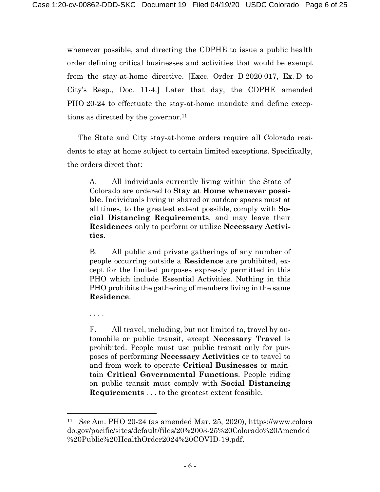whenever possible, and directing the CDPHE to issue a public health order defining critical businesses and activities that would be exempt from the stay-at-home directive. [Exec. Order D 2020 017, Ex. D to City's Resp., Doc. 11-4.] Later that day, the CDPHE amended PHO 20-24 to effectuate the stay-at-home mandate and define exceptions as directed by the governor.<sup>11</sup>

The State and City stay-at-home orders require all Colorado residents to stay at home subject to certain limited exceptions. Specifically, the orders direct that:

A. All individuals currently living within the State of Colorado are ordered to **Stay at Home whenever possible**. Individuals living in shared or outdoor spaces must at all times, to the greatest extent possible, comply with **Social Distancing Requirements**, and may leave their **Residences** only to perform or utilize **Necessary Activities**.

B. All public and private gatherings of any number of people occurring outside a **Residence** are prohibited, except for the limited purposes expressly permitted in this PHO which include Essential Activities. Nothing in this PHO prohibits the gathering of members living in the same **Residence**.

F. All travel, including, but not limited to, travel by automobile or public transit, except **Necessary Travel** is prohibited. People must use public transit only for purposes of performing **Necessary Activities** or to travel to and from work to operate **Critical Businesses** or maintain **Critical Governmental Functions**. People riding on public transit must comply with **Social Distancing Requirements** . . . to the greatest extent feasible.

. . . .

<sup>11</sup> *See* Am. PHO 20-24 (as amended Mar. 25, 2020), https://www.colora do.gov/pacific/sites/default/files/20%2003-25%20Colorado%20Amended %20Public%20HealthOrder2024%20COVID-19.pdf.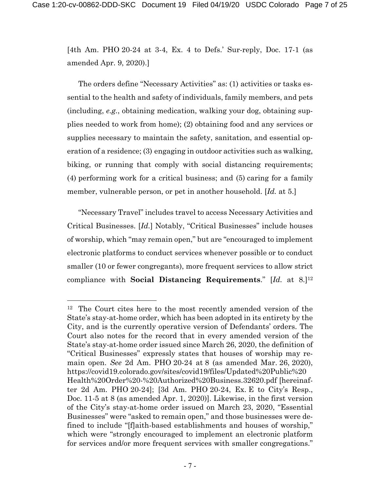[4th Am. PHO 20-24 at 3-4, Ex. 4 to Defs.' Sur-reply, Doc. 17-1 (as amended Apr. 9, 2020).]

The orders define "Necessary Activities" as: (1) activities or tasks essential to the health and safety of individuals, family members, and pets (including, *e.g.*, obtaining medication, walking your dog, obtaining supplies needed to work from home); (2) obtaining food and any services or supplies necessary to maintain the safety, sanitation, and essential operation of a residence; (3) engaging in outdoor activities such as walking, biking, or running that comply with social distancing requirements; (4) performing work for a critical business; and (5) caring for a family member, vulnerable person, or pet in another household. [*Id.* at 5.]

"Necessary Travel" includes travel to access Necessary Activities and Critical Businesses. [*Id.*] Notably, "Critical Businesses" include houses of worship, which "may remain open," but are "encouraged to implement electronic platforms to conduct services whenever possible or to conduct smaller (10 or fewer congregants), more frequent services to allow strict compliance with **Social Distancing Requirements**." [*Id.* at 8.]<sup>12</sup>

<sup>12</sup> The Court cites here to the most recently amended version of the State's stay-at-home order, which has been adopted in its entirety by the City, and is the currently operative version of Defendants' orders. The Court also notes for the record that in every amended version of the State's stay-at-home order issued since March 26, 2020, the definition of "Critical Businesses" expressly states that houses of worship may remain open. *See* 2d Am. PHO 20-24 at 8 (as amended Mar. 26, 2020), https://covid19.colorado.gov/sites/covid19/files/Updated%20Public%20 Health%20Order%20-%20Authorized%20Business.32620.pdf [hereinafter 2d Am. PHO 20-24]; [3d Am. PHO 20-24, Ex. E to City's Resp., Doc. 11-5 at 8 (as amended Apr. 1, 2020)]. Likewise, in the first version of the City's stay-at-home order issued on March 23, 2020, "Essential Businesses" were "asked to remain open," and those businesses were defined to include "[f]aith-based establishments and houses of worship," which were "strongly encouraged to implement an electronic platform for services and/or more frequent services with smaller congregations."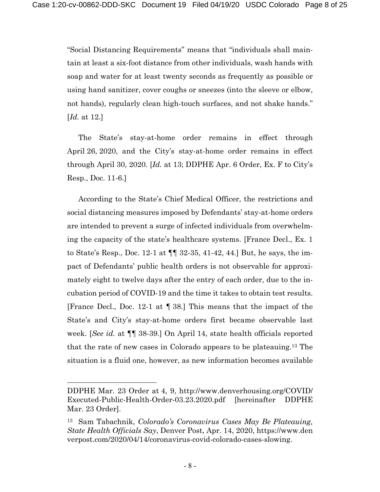"Social Distancing Requirements" means that "individuals shall maintain at least a six-foot distance from other individuals, wash hands with soap and water for at least twenty seconds as frequently as possible or using hand sanitizer, cover coughs or sneezes (into the sleeve or elbow, not hands), regularly clean high-touch surfaces, and not shake hands." [*Id.* at 12.]

The State's stay-at-home order remains in effect through April 26, 2020, and the City's stay-at-home order remains in effect through April 30, 2020. [*Id.* at 13; DDPHE Apr. 6 Order, Ex. F to City's Resp., Doc. 11-6.]

According to the State's Chief Medical Officer, the restrictions and social distancing measures imposed by Defendants' stay-at-home orders are intended to prevent a surge of infected individuals from overwhelming the capacity of the state's healthcare systems. [France Decl., Ex. 1 to State's Resp., Doc. 12-1 at ¶¶ 32-35, 41-42, 44.] But, he says, the impact of Defendants' public health orders is not observable for approximately eight to twelve days after the entry of each order, due to the incubation period of COVID-19 and the time it takes to obtain test results. [France Decl., Doc. 12-1 at ¶ 38.] This means that the impact of the State's and City's stay-at-home orders first became observable last week. [*See id.* at ¶¶ 38-39.] On April 14, state health officials reported that the rate of new cases in Colorado appears to be plateauing.13 The situation is a fluid one, however, as new information becomes available

DDPHE Mar. 23 Order at 4, 9, http://www.denverhousing.org/COVID/ Executed-Public-Health-Order-03.23.2020.pdf [hereinafter DDPHE Mar. 23 Order].

<sup>13</sup> Sam Tabachnik, *Colorado's Coronavirus Cases May Be Plateauing, State Health Officials Say*, Denver Post, Apr. 14, 2020, https://www.den verpost.com/2020/04/14/coronavirus-covid-colorado-cases-slowing.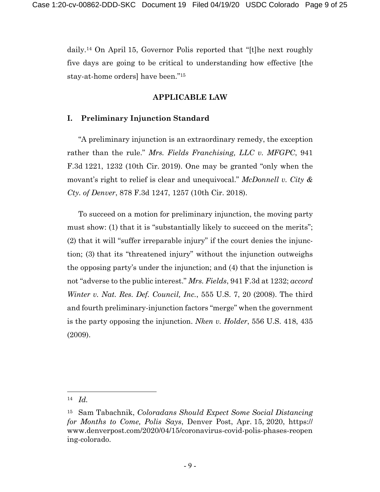daily.14 On April 15, Governor Polis reported that "[t]he next roughly five days are going to be critical to understanding how effective [the stay-at-home orders] have been."15

## **APPLICABLE LAW**

### **I. Preliminary Injunction Standard**

"A preliminary injunction is an extraordinary remedy, the exception rather than the rule." *Mrs. Fields Franchising, LLC v. MFGPC*, 941 F.3d 1221, 1232 (10th Cir. 2019). One may be granted "only when the movant's right to relief is clear and unequivocal." *McDonnell v. City & Cty. of Denver*, 878 F.3d 1247, 1257 (10th Cir. 2018).

To succeed on a motion for preliminary injunction, the moving party must show: (1) that it is "substantially likely to succeed on the merits"; (2) that it will "suffer irreparable injury" if the court denies the injunction; (3) that its "threatened injury" without the injunction outweighs the opposing party's under the injunction; and (4) that the injunction is not "adverse to the public interest." *Mrs. Fields*, 941 F.3d at 1232; *accord Winter v. Nat. Res. Def. Council, Inc.*, 555 U.S. 7, 20 (2008). The third and fourth preliminary-injunction factors "merge" when the government is the party opposing the injunction. *Nken v. Holder*, 556 U.S. 418, 435 (2009).

<sup>14</sup> *Id.*

<sup>15</sup> Sam Tabachnik, *Coloradans Should Expect Some Social Distancing for Months to Come, Polis Says*, Denver Post, Apr. 15, 2020, https:// www.denverpost.com/2020/04/15/coronavirus-covid-polis-phases-reopen ing-colorado.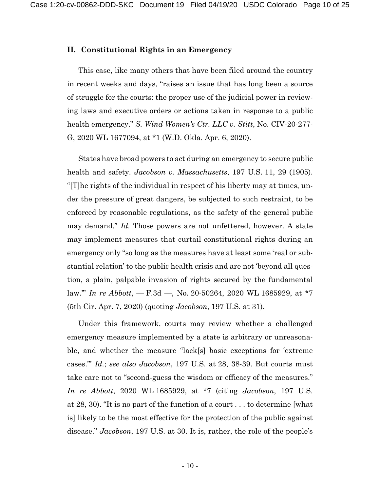### **II. Constitutional Rights in an Emergency**

This case, like many others that have been filed around the country in recent weeks and days, "raises an issue that has long been a source of struggle for the courts: the proper use of the judicial power in reviewing laws and executive orders or actions taken in response to a public health emergency." *S. Wind Women's Ctr. LLC v. Stitt*, No. CIV-20-277- G, 2020 WL 1677094, at \*1 (W.D. Okla. Apr. 6, 2020).

States have broad powers to act during an emergency to secure public health and safety. *Jacobson v. Massachusetts*, 197 U.S. 11, 29 (1905). "[T]he rights of the individual in respect of his liberty may at times, under the pressure of great dangers, be subjected to such restraint, to be enforced by reasonable regulations, as the safety of the general public may demand." *Id.* Those powers are not unfettered, however. A state may implement measures that curtail constitutional rights during an emergency only "so long as the measures have at least some 'real or substantial relation' to the public health crisis and are not 'beyond all question, a plain, palpable invasion of rights secured by the fundamental law.'" *In re Abbott*, — F.3d —, No. 20-50264, 2020 WL 1685929, at \*7 (5th Cir. Apr. 7, 2020) (quoting *Jacobson*, 197 U.S. at 31).

Under this framework, courts may review whether a challenged emergency measure implemented by a state is arbitrary or unreasonable, and whether the measure "lack[s] basic exceptions for 'extreme cases.'" *Id.*; *see also Jacobson*, 197 U.S. at 28, 38-39. But courts must take care not to "second-guess the wisdom or efficacy of the measures." *In re Abbott*, 2020 WL 1685929, at \*7 (citing *Jacobson*, 197 U.S. at 28, 30). "It is no part of the function of a court . . . to determine [what is] likely to be the most effective for the protection of the public against disease." *Jacobson*, 197 U.S. at 30. It is, rather, the role of the people's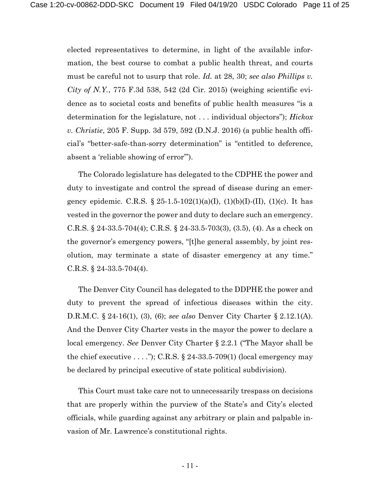elected representatives to determine, in light of the available information, the best course to combat a public health threat, and courts must be careful not to usurp that role. *Id.* at 28, 30; *see also Phillips v. City of N.Y.*, 775 F.3d 538, 542 (2d Cir. 2015) (weighing scientific evidence as to societal costs and benefits of public health measures "is a determination for the legislature, not . . . individual objectors"); *Hickox v. Christie*, 205 F. Supp. 3d 579, 592 (D.N.J. 2016) (a public health official's "better-safe-than-sorry determination" is "entitled to deference, absent a 'reliable showing of error'").

The Colorado legislature has delegated to the CDPHE the power and duty to investigate and control the spread of disease during an emergency epidemic. C.R.S.  $\S 25{\text -}1.5{\text -}102(1)(a)(I), (1)(b)(I){\text -}I, (1)(c)$ . It has vested in the governor the power and duty to declare such an emergency. C.R.S. § 24-33.5-704(4); C.R.S. § 24-33.5-703(3), (3.5), (4). As a check on the governor's emergency powers, "[t]he general assembly, by joint resolution, may terminate a state of disaster emergency at any time." C.R.S. § 24-33.5-704(4).

The Denver City Council has delegated to the DDPHE the power and duty to prevent the spread of infectious diseases within the city. D.R.M.C. § 24-16(1), (3), (6); *see also* Denver City Charter § 2.12.1(A). And the Denver City Charter vests in the mayor the power to declare a local emergency. *See* Denver City Charter § 2.2.1 ("The Mayor shall be the chief executive . . . ."); C.R.S.  $\S$  24-33.5-709(1) (local emergency may be declared by principal executive of state political subdivision).

This Court must take care not to unnecessarily trespass on decisions that are properly within the purview of the State's and City's elected officials, while guarding against any arbitrary or plain and palpable invasion of Mr. Lawrence's constitutional rights.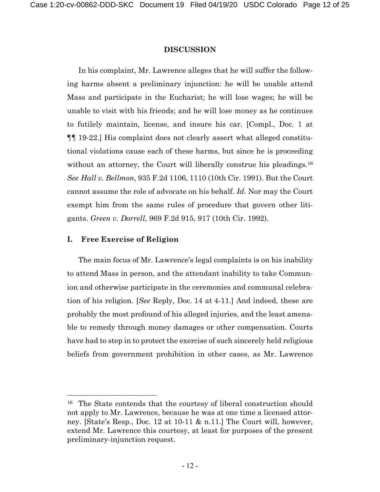#### **DISCUSSION**

In his complaint, Mr. Lawrence alleges that he will suffer the following harms absent a preliminary injunction: he will be unable attend Mass and participate in the Eucharist; he will lose wages; he will be unable to visit with his friends; and he will lose money as he continues to futilely maintain, license, and insure his car. [Compl., Doc. 1 at ¶¶ 19-22.] His complaint does not clearly assert what alleged constitutional violations cause each of these harms, but since he is proceeding without an attorney, the Court will liberally construe his pleadings.<sup>16</sup> *See Hall v. Bellmon*, 935 F.2d 1106, 1110 (10th Cir. 1991). But the Court cannot assume the role of advocate on his behalf. *Id.* Nor may the Court exempt him from the same rules of procedure that govern other litigants. *Green v. Dorrell*, 969 F.2d 915, 917 (10th Cir. 1992).

#### **I. Free Exercise of Religion**

The main focus of Mr. Lawrence's legal complaints is on his inability to attend Mass in person, and the attendant inability to take Communion and otherwise participate in the ceremonies and communal celebration of his religion. [*See* Reply, Doc. 14 at 4-11.] And indeed, these are probably the most profound of his alleged injuries, and the least amenable to remedy through money damages or other compensation. Courts have had to step in to protect the exercise of such sincerely held religious beliefs from government prohibition in other cases, as Mr. Lawrence

<sup>16</sup> The State contends that the courtesy of liberal construction should not apply to Mr. Lawrence, because he was at one time a licensed attorney. [State's Resp., Doc. 12 at 10-11 & n.11.] The Court will, however, extend Mr. Lawrence this courtesy, at least for purposes of the present preliminary-injunction request.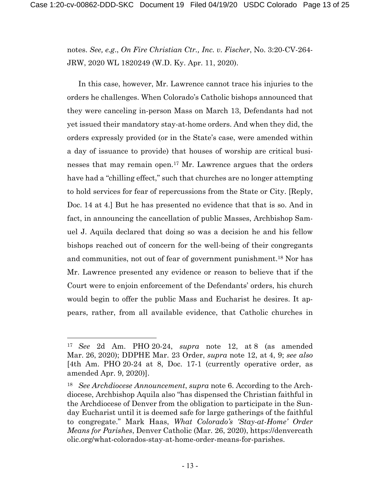notes. *See, e.g*., *On Fire Christian Ctr., Inc. v. Fischer*, No. 3:20-CV-264- JRW, 2020 WL 1820249 (W.D. Ky. Apr. 11, 2020).

In this case, however, Mr. Lawrence cannot trace his injuries to the orders he challenges. When Colorado's Catholic bishops announced that they were canceling in-person Mass on March 13, Defendants had not yet issued their mandatory stay-at-home orders. And when they did, the orders expressly provided (or in the State's case, were amended within a day of issuance to provide) that houses of worship are critical businesses that may remain open.17 Mr. Lawrence argues that the orders have had a "chilling effect," such that churches are no longer attempting to hold services for fear of repercussions from the State or City. [Reply, Doc. 14 at 4.] But he has presented no evidence that that is so. And in fact, in announcing the cancellation of public Masses, Archbishop Samuel J. Aquila declared that doing so was a decision he and his fellow bishops reached out of concern for the well-being of their congregants and communities, not out of fear of government punishment.18 Nor has Mr. Lawrence presented any evidence or reason to believe that if the Court were to enjoin enforcement of the Defendants' orders, his church would begin to offer the public Mass and Eucharist he desires. It appears, rather, from all available evidence, that Catholic churches in

<sup>17</sup> *See* 2d Am. PHO 20-24, *supra* note 12, at 8 (as amended Mar. 26, 2020); DDPHE Mar. 23 Order, *supra* note 12, at 4, 9; *see also* [4th Am. PHO 20-24 at 8, Doc. 17-1 (currently operative order, as amended Apr. 9, 2020)].

<sup>18</sup> *See Archdiocese Announcement*, *supra* note 6. According to the Archdiocese, Archbishop Aquila also "has dispensed the Christian faithful in the Archdiocese of Denver from the obligation to participate in the Sunday Eucharist until it is deemed safe for large gatherings of the faithful to congregate." Mark Haas, *What Colorado's 'Stay-at-Home' Order Means for Parishes*, Denver Catholic (Mar. 26, 2020), https://denvercath olic.org/what-colorados-stay-at-home-order-means-for-parishes.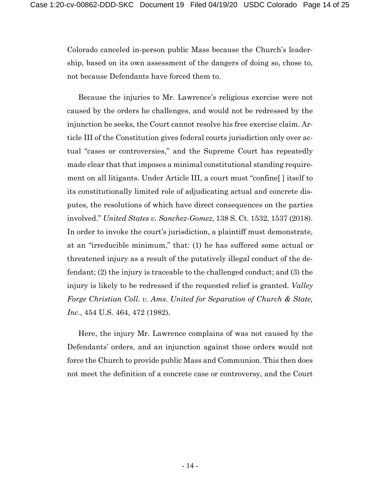Colorado canceled in-person public Mass because the Church's leadership, based on its own assessment of the dangers of doing so, chose to, not because Defendants have forced them to.

Because the injuries to Mr. Lawrence's religious exercise were not caused by the orders he challenges, and would not be redressed by the injunction he seeks, the Court cannot resolve his free exercise claim. Article III of the Constitution gives federal courts jurisdiction only over actual "cases or controversies," and the Supreme Court has repeatedly made clear that that imposes a minimal constitutional standing requirement on all litigants. Under Article III, a court must "confine[ ] itself to its constitutionally limited role of adjudicating actual and concrete disputes, the resolutions of which have direct consequences on the parties involved." *United States v. Sanchez-Gomez*, 138 S. Ct. 1532, 1537 (2018). In order to invoke the court's jurisdiction, a plaintiff must demonstrate, at an "irreducible minimum," that: (1) he has suffered some actual or threatened injury as a result of the putatively illegal conduct of the defendant; (2) the injury is traceable to the challenged conduct; and (3) the injury is likely to be redressed if the requested relief is granted. *Valley Forge Christian Coll. v. Ams. United for Separation of Church & State, Inc*., 454 U.S. 464, 472 (1982).

Here, the injury Mr. Lawrence complains of was not caused by the Defendants' orders, and an injunction against those orders would not force the Church to provide public Mass and Communion. This then does not meet the definition of a concrete case or controversy, and the Court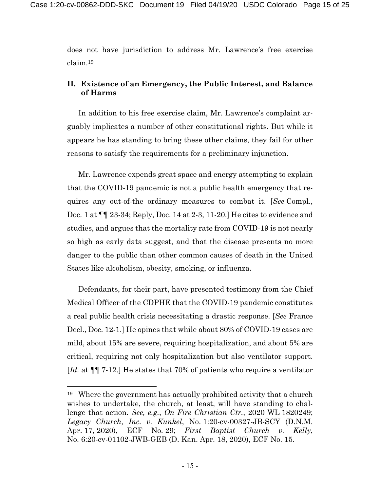does not have jurisdiction to address Mr. Lawrence's free exercise claim.19

## **II. Existence of an Emergency, the Public Interest, and Balance of Harms**

In addition to his free exercise claim, Mr. Lawrence's complaint arguably implicates a number of other constitutional rights. But while it appears he has standing to bring these other claims, they fail for other reasons to satisfy the requirements for a preliminary injunction.

Mr. Lawrence expends great space and energy attempting to explain that the COVID-19 pandemic is not a public health emergency that requires any out-of-the ordinary measures to combat it. [*See* Compl., Doc. 1 at ¶¶ 23-34; Reply, Doc. 14 at 2-3, 11-20.] He cites to evidence and studies, and argues that the mortality rate from COVID-19 is not nearly so high as early data suggest, and that the disease presents no more danger to the public than other common causes of death in the United States like alcoholism, obesity, smoking, or influenza.

Defendants, for their part, have presented testimony from the Chief Medical Officer of the CDPHE that the COVID-19 pandemic constitutes a real public health crisis necessitating a drastic response. [*See* France Decl., Doc. 12-1.] He opines that while about 80% of COVID-19 cases are mild, about 15% are severe, requiring hospitalization, and about 5% are critical, requiring not only hospitalization but also ventilator support. [*Id.* at  $\P$ ] 7-12.] He states that 70% of patients who require a ventilator

<sup>19</sup> Where the government has actually prohibited activity that a church wishes to undertake, the church, at least, will have standing to challenge that action. *See, e.g.*, *On Fire Christian Ctr.*, 2020 WL 1820249; *Legacy Church, Inc. v. Kunkel*, No. 1:20-cv-00327-JB-SCY (D.N.M. Apr. 17, 2020), ECF No. 29; *First Baptist Church v. Kelly*, No. 6:20-cv-01102-JWB-GEB (D. Kan. Apr. 18, 2020), ECF No. 15.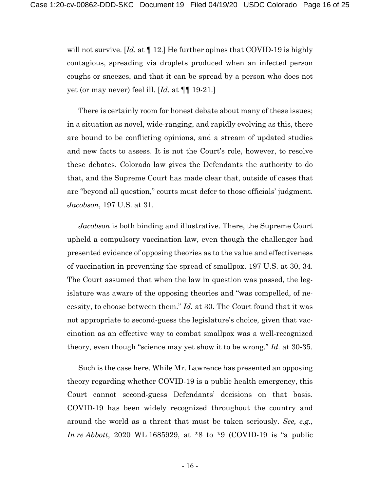will not survive. [*Id.* at ¶ 12.] He further opines that COVID-19 is highly contagious, spreading via droplets produced when an infected person coughs or sneezes, and that it can be spread by a person who does not yet (or may never) feel ill. [*Id.* at ¶¶ 19-21.]

There is certainly room for honest debate about many of these issues; in a situation as novel, wide-ranging, and rapidly evolving as this, there are bound to be conflicting opinions, and a stream of updated studies and new facts to assess. It is not the Court's role, however, to resolve these debates. Colorado law gives the Defendants the authority to do that, and the Supreme Court has made clear that, outside of cases that are "beyond all question," courts must defer to those officials' judgment. *Jacobson*, 197 U.S. at 31.

*Jacobson* is both binding and illustrative. There, the Supreme Court upheld a compulsory vaccination law, even though the challenger had presented evidence of opposing theories as to the value and effectiveness of vaccination in preventing the spread of smallpox. 197 U.S. at 30, 34. The Court assumed that when the law in question was passed, the legislature was aware of the opposing theories and "was compelled, of necessity, to choose between them." *Id.* at 30. The Court found that it was not appropriate to second-guess the legislature's choice, given that vaccination as an effective way to combat smallpox was a well-recognized theory, even though "science may yet show it to be wrong." *Id.* at 30-35.

Such is the case here. While Mr. Lawrence has presented an opposing theory regarding whether COVID-19 is a public health emergency, this Court cannot second-guess Defendants' decisions on that basis. COVID-19 has been widely recognized throughout the country and around the world as a threat that must be taken seriously. *See, e.g.*, *In re Abbott*, 2020 WL 1685929, at \*8 to \*9 (COVID-19 is "a public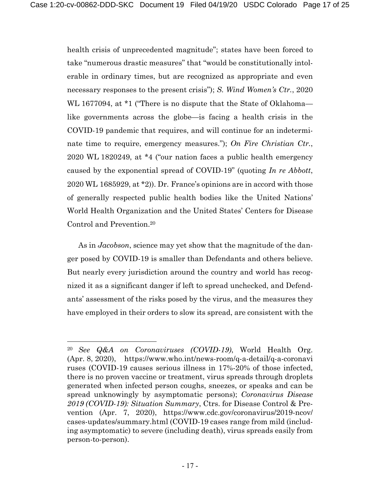health crisis of unprecedented magnitude"; states have been forced to take "numerous drastic measures" that "would be constitutionally intolerable in ordinary times, but are recognized as appropriate and even necessary responses to the present crisis"); *S. Wind Women's Ctr.*, 2020 WL 1677094, at \*1 ("There is no dispute that the State of Oklahoma like governments across the globe—is facing a health crisis in the COVID-19 pandemic that requires, and will continue for an indeterminate time to require, emergency measures."); *On Fire Christian Ctr.*, 2020 WL 1820249, at \*4 ("our nation faces a public health emergency caused by the exponential spread of COVID-19" (quoting *In re Abbott*, 2020 WL 1685929, at \*2)). Dr. France's opinions are in accord with those of generally respected public health bodies like the United Nations' World Health Organization and the United States' Centers for Disease Control and Prevention.20

As in *Jacobson*, science may yet show that the magnitude of the danger posed by COVID-19 is smaller than Defendants and others believe. But nearly every jurisdiction around the country and world has recognized it as a significant danger if left to spread unchecked, and Defendants' assessment of the risks posed by the virus, and the measures they have employed in their orders to slow its spread, are consistent with the

<sup>20</sup> *See Q&A on Coronaviruses (COVID-19)*, World Health Org. (Apr. 8, 2020), https://www.who.int/news-room/q-a-detail/q-a-coronavi ruses (COVID-19 causes serious illness in 17%-20% of those infected, there is no proven vaccine or treatment, virus spreads through droplets generated when infected person coughs, sneezes, or speaks and can be spread unknowingly by asymptomatic persons); *Coronavirus Disease 2019 (COVID-19): Situation Summary*, Ctrs. for Disease Control & Prevention (Apr. 7, 2020), https://www.cdc.gov/coronavirus/2019-ncov/ cases-updates/summary.html (COVID-19 cases range from mild (including asymptomatic) to severe (including death), virus spreads easily from person-to-person).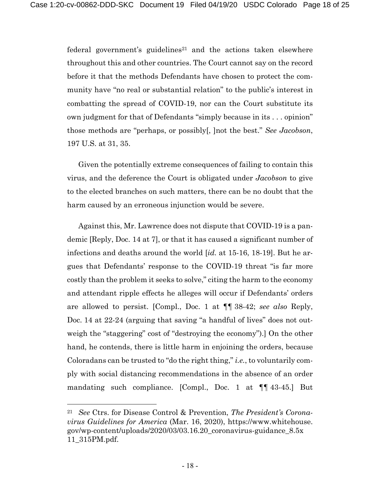federal government's guidelines<sup>21</sup> and the actions taken elsewhere throughout this and other countries. The Court cannot say on the record before it that the methods Defendants have chosen to protect the community have "no real or substantial relation" to the public's interest in combatting the spread of COVID-19, nor can the Court substitute its own judgment for that of Defendants "simply because in its . . . opinion" those methods are "perhaps, or possibly[, ]not the best." *See Jacobson*, 197 U.S. at 31, 35.

Given the potentially extreme consequences of failing to contain this virus, and the deference the Court is obligated under *Jacobson* to give to the elected branches on such matters, there can be no doubt that the harm caused by an erroneous injunction would be severe.

Against this, Mr. Lawrence does not dispute that COVID-19 is a pandemic [Reply, Doc. 14 at 7], or that it has caused a significant number of infections and deaths around the world [*id.* at 15-16, 18-19]. But he argues that Defendants' response to the COVID-19 threat "is far more costly than the problem it seeks to solve," citing the harm to the economy and attendant ripple effects he alleges will occur if Defendants' orders are allowed to persist. [Compl., Doc. 1 at ¶¶ 38-42; *see also* Reply, Doc. 14 at 22-24 (arguing that saving "a handful of lives" does not outweigh the "staggering" cost of "destroying the economy").] On the other hand, he contends, there is little harm in enjoining the orders, because Coloradans can be trusted to "do the right thing," *i.e.*, to voluntarily comply with social distancing recommendations in the absence of an order mandating such compliance. [Compl., Doc. 1 at ¶¶ 43-45.] But

<sup>21</sup> *See* Ctrs. for Disease Control & Prevention, *The President's Coronavirus Guidelines for America* (Mar. 16, 2020), https://www.whitehouse. gov/wp-content/uploads/2020/03/03.16.20\_coronavirus-guidance\_8.5x 11\_315PM.pdf.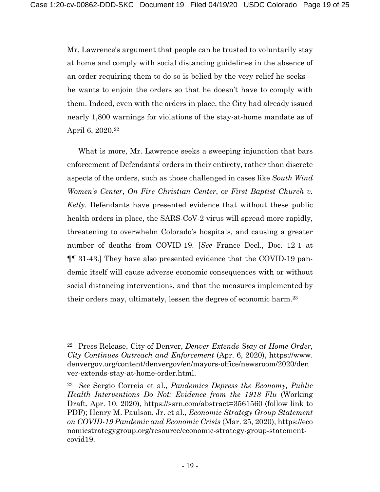Mr. Lawrence's argument that people can be trusted to voluntarily stay at home and comply with social distancing guidelines in the absence of an order requiring them to do so is belied by the very relief he seeks he wants to enjoin the orders so that he doesn't have to comply with them. Indeed, even with the orders in place, the City had already issued nearly 1,800 warnings for violations of the stay-at-home mandate as of April 6, 2020.22

What is more, Mr. Lawrence seeks a sweeping injunction that bars enforcement of Defendants' orders in their entirety, rather than discrete aspects of the orders, such as those challenged in cases like *South Wind Women's Center*, *On Fire Christian Center*, or *First Baptist Church v. Kelly*. Defendants have presented evidence that without these public health orders in place, the SARS-CoV-2 virus will spread more rapidly, threatening to overwhelm Colorado's hospitals, and causing a greater number of deaths from COVID-19. [*See* France Decl., Doc. 12-1 at ¶¶ 31-43.] They have also presented evidence that the COVID-19 pandemic itself will cause adverse economic consequences with or without social distancing interventions, and that the measures implemented by their orders may, ultimately, lessen the degree of economic harm.23

<sup>22</sup> Press Release, City of Denver, *Denver Extends Stay at Home Order, City Continues Outreach and Enforcement* (Apr. 6, 2020), https://www. denvergov.org/content/denvergov/en/mayors-office/newsroom/2020/den ver-extends-stay-at-home-order.html.

<sup>23</sup> *See* Sergio Correia et al., *Pandemics Depress the Economy, Public Health Interventions Do Not: Evidence from the 1918 Flu* (Working Draft, Apr. 10, 2020), https://ssrn.com/abstract=3561560 (follow link to PDF); Henry M. Paulson, Jr. et al., *Economic Strategy Group Statement on COVID-19 Pandemic and Economic Crisis* (Mar. 25, 2020), https://eco nomicstrategygroup.org/resource/economic-strategy-group-statementcovid19.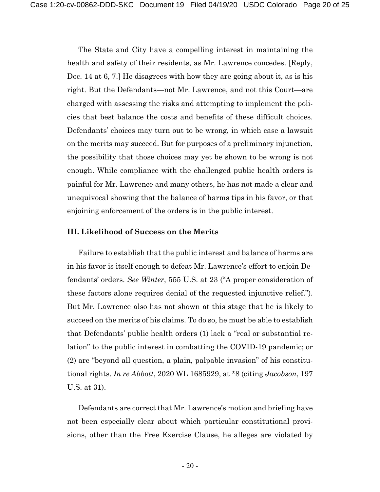The State and City have a compelling interest in maintaining the health and safety of their residents, as Mr. Lawrence concedes. [Reply, Doc. 14 at 6, 7.] He disagrees with how they are going about it, as is his right. But the Defendants—not Mr. Lawrence, and not this Court—are charged with assessing the risks and attempting to implement the policies that best balance the costs and benefits of these difficult choices. Defendants' choices may turn out to be wrong, in which case a lawsuit on the merits may succeed. But for purposes of a preliminary injunction, the possibility that those choices may yet be shown to be wrong is not enough. While compliance with the challenged public health orders is painful for Mr. Lawrence and many others, he has not made a clear and unequivocal showing that the balance of harms tips in his favor, or that enjoining enforcement of the orders is in the public interest.

### **III. Likelihood of Success on the Merits**

Failure to establish that the public interest and balance of harms are in his favor is itself enough to defeat Mr. Lawrence's effort to enjoin Defendants' orders. *See Winter*, 555 U.S. at 23 ("A proper consideration of these factors alone requires denial of the requested injunctive relief."). But Mr. Lawrence also has not shown at this stage that he is likely to succeed on the merits of his claims. To do so, he must be able to establish that Defendants' public health orders (1) lack a "real or substantial relation" to the public interest in combatting the COVID-19 pandemic; or (2) are "beyond all question, a plain, palpable invasion" of his constitutional rights. *In re Abbott*, 2020 WL 1685929, at \*8 (citing *Jacobson*, 197 U.S. at 31).

Defendants are correct that Mr. Lawrence's motion and briefing have not been especially clear about which particular constitutional provisions, other than the Free Exercise Clause, he alleges are violated by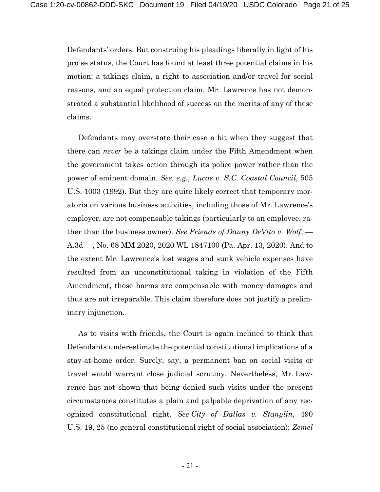Defendants' orders. But construing his pleadings liberally in light of his pro se status, the Court has found at least three potential claims in his motion: a takings claim, a right to association and/or travel for social reasons, and an equal protection claim. Mr. Lawrence has not demonstrated a substantial likelihood of success on the merits of any of these claims.

Defendants may overstate their case a bit when they suggest that there can *never* be a takings claim under the Fifth Amendment when the government takes action through its police power rather than the power of eminent domain. *See, e.g.*, *Lucas v. S.C. Coastal Council*, 505 U.S. 1003 (1992). But they are quite likely correct that temporary moratoria on various business activities, including those of Mr. Lawrence's employer, are not compensable takings (particularly to an employee, rather than the business owner). *See Friends of Danny DeVito v. Wolf*, — A.3d —, No. 68 MM 2020, 2020 WL 1847100 (Pa. Apr. 13, 2020). And to the extent Mr. Lawrence's lost wages and sunk vehicle expenses have resulted from an unconstitutional taking in violation of the Fifth Amendment, those harms are compensable with money damages and thus are not irreparable. This claim therefore does not justify a preliminary injunction.

As to visits with friends, the Court is again inclined to think that Defendants underestimate the potential constitutional implications of a stay-at-home order. Surely, say, a permanent ban on social visits or travel would warrant close judicial scrutiny. Nevertheless, Mr. Lawrence has not shown that being denied such visits under the present circumstances constitutes a plain and palpable deprivation of any recognized constitutional right. *See City of Dallas v. Stanglin*, 490 U.S. 19, 25 (no general constitutional right of social association); *Zemel*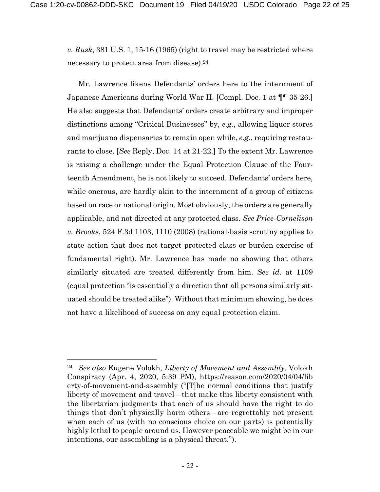*v. Rusk*, 381 U.S. 1, 15-16 (1965) (right to travel may be restricted where necessary to protect area from disease).<sup>24</sup>

Mr. Lawrence likens Defendants' orders here to the internment of Japanese Americans during World War II. [Compl. Doc. 1 at ¶¶ 35-26.] He also suggests that Defendants' orders create arbitrary and improper distinctions among "Critical Businesses" by, *e.g.*, allowing liquor stores and marijuana dispensaries to remain open while, *e.g.*, requiring restaurants to close. [*See* Reply, Doc. 14 at 21-22.] To the extent Mr. Lawrence is raising a challenge under the Equal Protection Clause of the Fourteenth Amendment, he is not likely to succeed. Defendants' orders here, while onerous, are hardly akin to the internment of a group of citizens based on race or national origin. Most obviously, the orders are generally applicable, and not directed at any protected class. *See Price-Cornelison v. Brooks*, 524 F.3d 1103, 1110 (2008) (rational-basis scrutiny applies to state action that does not target protected class or burden exercise of fundamental right). Mr. Lawrence has made no showing that others similarly situated are treated differently from him. *See id.* at 1109 (equal protection "is essentially a direction that all persons similarly situated should be treated alike"). Without that minimum showing, he does not have a likelihood of success on any equal protection claim.

<sup>24</sup> *See also* Eugene Volokh, *Liberty of Movement and Assembly*, Volokh Conspiracy (Apr. 4, 2020, 5:39 PM), https://reason.com/2020/04/04/lib erty-of-movement-and-assembly ("[T]he normal conditions that justify liberty of movement and travel—that make this liberty consistent with the libertarian judgments that each of us should have the right to do things that don't physically harm others—are regrettably not present when each of us (with no conscious choice on our parts) is potentially highly lethal to people around us. However peaceable we might be in our intentions, our assembling is a physical threat.").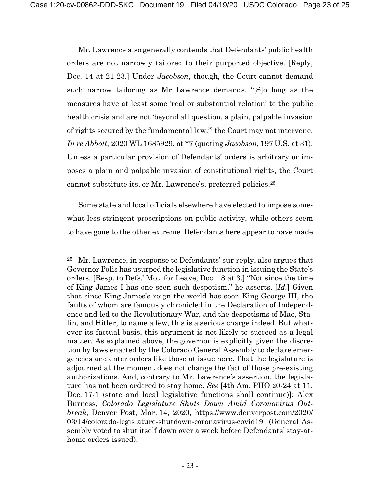Mr. Lawrence also generally contends that Defendants' public health orders are not narrowly tailored to their purported objective. [Reply, Doc. 14 at 21-23.] Under *Jacobson*, though, the Court cannot demand such narrow tailoring as Mr. Lawrence demands. "[S]o long as the measures have at least some 'real or substantial relation' to the public health crisis and are not 'beyond all question, a plain, palpable invasion of rights secured by the fundamental law,'" the Court may not intervene. *In re Abbott*, 2020 WL 1685929, at \*7 (quoting *Jacobson*, 197 U.S. at 31). Unless a particular provision of Defendants' orders is arbitrary or imposes a plain and palpable invasion of constitutional rights, the Court cannot substitute its, or Mr. Lawrence's, preferred policies.25

Some state and local officials elsewhere have elected to impose somewhat less stringent proscriptions on public activity, while others seem to have gone to the other extreme. Defendants here appear to have made

<sup>25</sup> Mr. Lawrence, in response to Defendants' sur-reply, also argues that Governor Polis has usurped the legislative function in issuing the State's orders. [Resp. to Defs.' Mot. for Leave, Doc. 18 at 3.] "Not since the time of King James I has one seen such despotism," he asserts. [*Id.*] Given that since King James's reign the world has seen King George III, the faults of whom are famously chronicled in the Declaration of Independence and led to the Revolutionary War, and the despotisms of Mao, Stalin, and Hitler, to name a few, this is a serious charge indeed. But whatever its factual basis, this argument is not likely to succeed as a legal matter. As explained above, the governor is explicitly given the discretion by laws enacted by the Colorado General Assembly to declare emergencies and enter orders like those at issue here. That the legislature is adjourned at the moment does not change the fact of those pre-existing authorizations. And, contrary to Mr. Lawrence's assertion, the legislature has not been ordered to stay home. *See* [4th Am. PHO 20-24 at 11, Doc. 17-1 (state and local legislative functions shall continue)]; Alex Burness, *Colorado Legislature Shuts Down Amid Coronavirus Outbreak*, Denver Post, Mar. 14, 2020, https://www.denverpost.com/2020/ 03/14/colorado-legislature-shutdown-coronavirus-covid19 (General Assembly voted to shut itself down over a week before Defendants' stay-athome orders issued).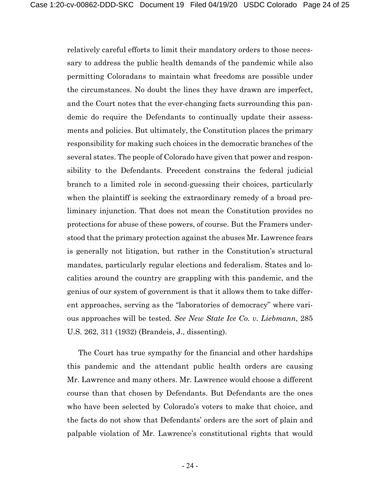relatively careful efforts to limit their mandatory orders to those necessary to address the public health demands of the pandemic while also permitting Coloradans to maintain what freedoms are possible under the circumstances. No doubt the lines they have drawn are imperfect, and the Court notes that the ever-changing facts surrounding this pandemic do require the Defendants to continually update their assessments and policies. But ultimately, the Constitution places the primary responsibility for making such choices in the democratic branches of the several states. The people of Colorado have given that power and responsibility to the Defendants. Precedent constrains the federal judicial branch to a limited role in second-guessing their choices, particularly when the plaintiff is seeking the extraordinary remedy of a broad preliminary injunction. That does not mean the Constitution provides no protections for abuse of these powers, of course. But the Framers understood that the primary protection against the abuses Mr. Lawrence fears is generally not litigation, but rather in the Constitution's structural mandates, particularly regular elections and federalism. States and localities around the country are grappling with this pandemic, and the genius of our system of government is that it allows them to take different approaches, serving as the "laboratories of democracy" where various approaches will be tested. *See New State Ice Co. v. Liebmann*, 285 U.S. 262, 311 (1932) (Brandeis, J., dissenting).

The Court has true sympathy for the financial and other hardships this pandemic and the attendant public health orders are causing Mr. Lawrence and many others. Mr. Lawrence would choose a different course than that chosen by Defendants. But Defendants are the ones who have been selected by Colorado's voters to make that choice, and the facts do not show that Defendants' orders are the sort of plain and palpable violation of Mr. Lawrence's constitutional rights that would